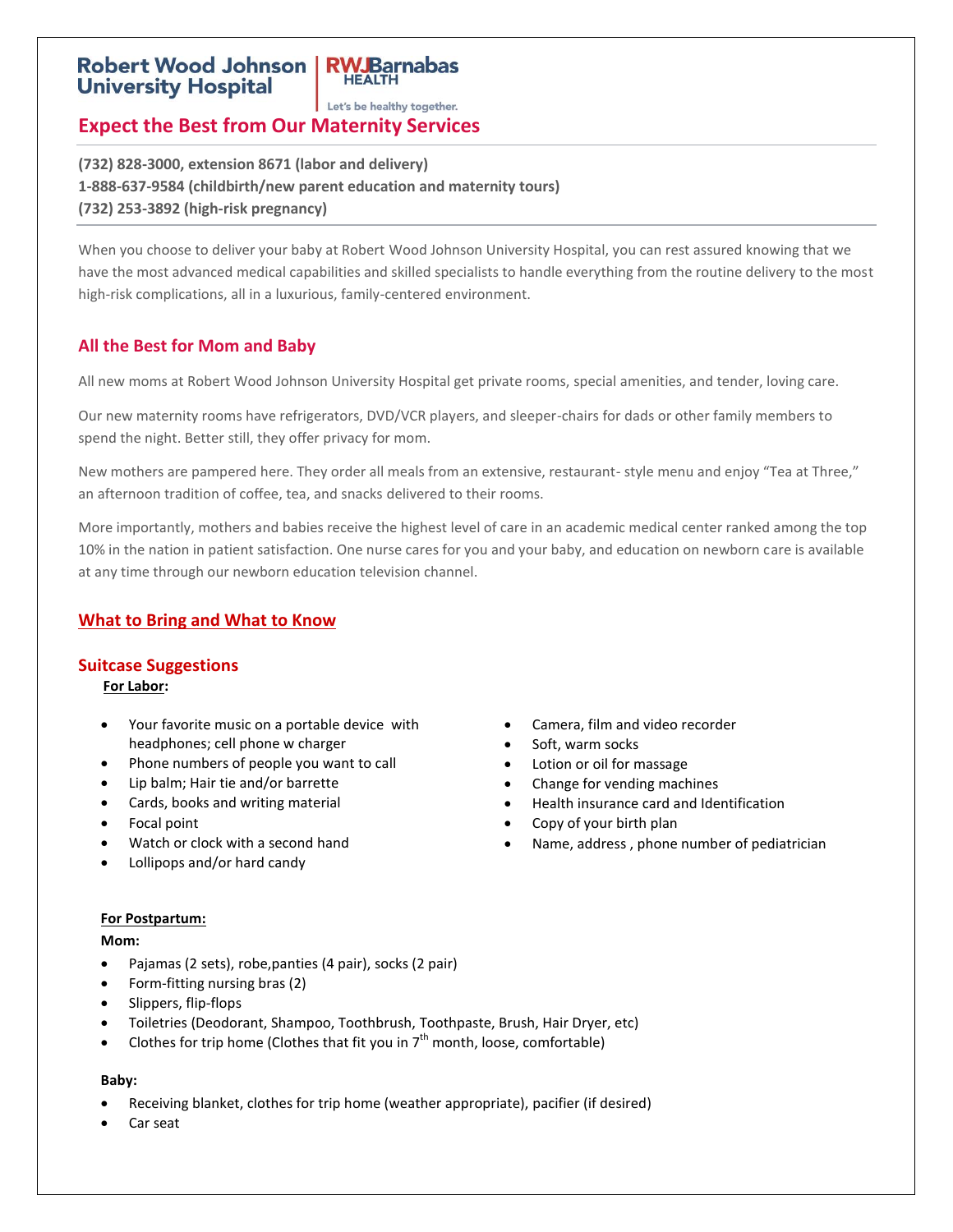# **Robert Wood Johnson University Hospital**

Let's be healthy together.

**RWJBarnabas HEALTH** 

# **Expect the Best from Our Maternity Services**

**(732) 828-3000, extension 8671 (labor and delivery) 1-888-637-9584 (childbirth/new parent education and maternity tours) (732) 253-3892 (high-risk pregnancy)**

When you choose to deliver your baby at Robert Wood Johnson University Hospital, you can rest assured knowing that we have the most advanced medical capabilities and skilled specialists to handle everything from the routine delivery to the most high-risk complications, all in a luxurious, family-centered environment.

# **All the Best for Mom and Baby**

All new moms at Robert Wood Johnson University Hospital get private rooms, special amenities, and tender, loving care.

Our new maternity rooms have refrigerators, DVD/VCR players, and sleeper-chairs for dads or other family members to spend the night. Better still, they offer privacy for mom.

New mothers are pampered here. They order all meals from an extensive, restaurant- style menu and enjoy "Tea at Three," an afternoon tradition of coffee, tea, and snacks delivered to their rooms.

More importantly, mothers and babies receive the highest level of care in an academic medical center ranked among the top 10% in the nation in patient satisfaction. One nurse cares for you and your baby, and education on newborn care is available at any time through our newborn education television channel.

## **What to Bring and What to Know**

### **Suitcase Suggestions**

 **For Labor:**

- Your favorite music on a portable device with headphones; cell phone w charger
- Phone numbers of people you want to call
- Lip balm; Hair tie and/or barrette
- Cards, books and writing material
- Focal point
- Watch or clock with a second hand
- Lollipops and/or hard candy

 Soft, warm socks Lotion or oil for massage

Camera, film and video recorder

- Change for vending machines
- Health insurance card and Identification
- Copy of your birth plan
- Name, address , phone number of pediatrician

#### **For Postpartum:**

**Mom:**

- Pajamas (2 sets), robe,panties (4 pair), socks (2 pair)
- Form-fitting nursing bras (2)
- Slippers, flip-flops
- Toiletries (Deodorant, Shampoo, Toothbrush, Toothpaste, Brush, Hair Dryer, etc)
- Clothes for trip home (Clothes that fit you in  $7<sup>th</sup>$  month, loose, comfortable)

# **Baby:**

- Receiving blanket, clothes for trip home (weather appropriate), pacifier (if desired)
- Car seat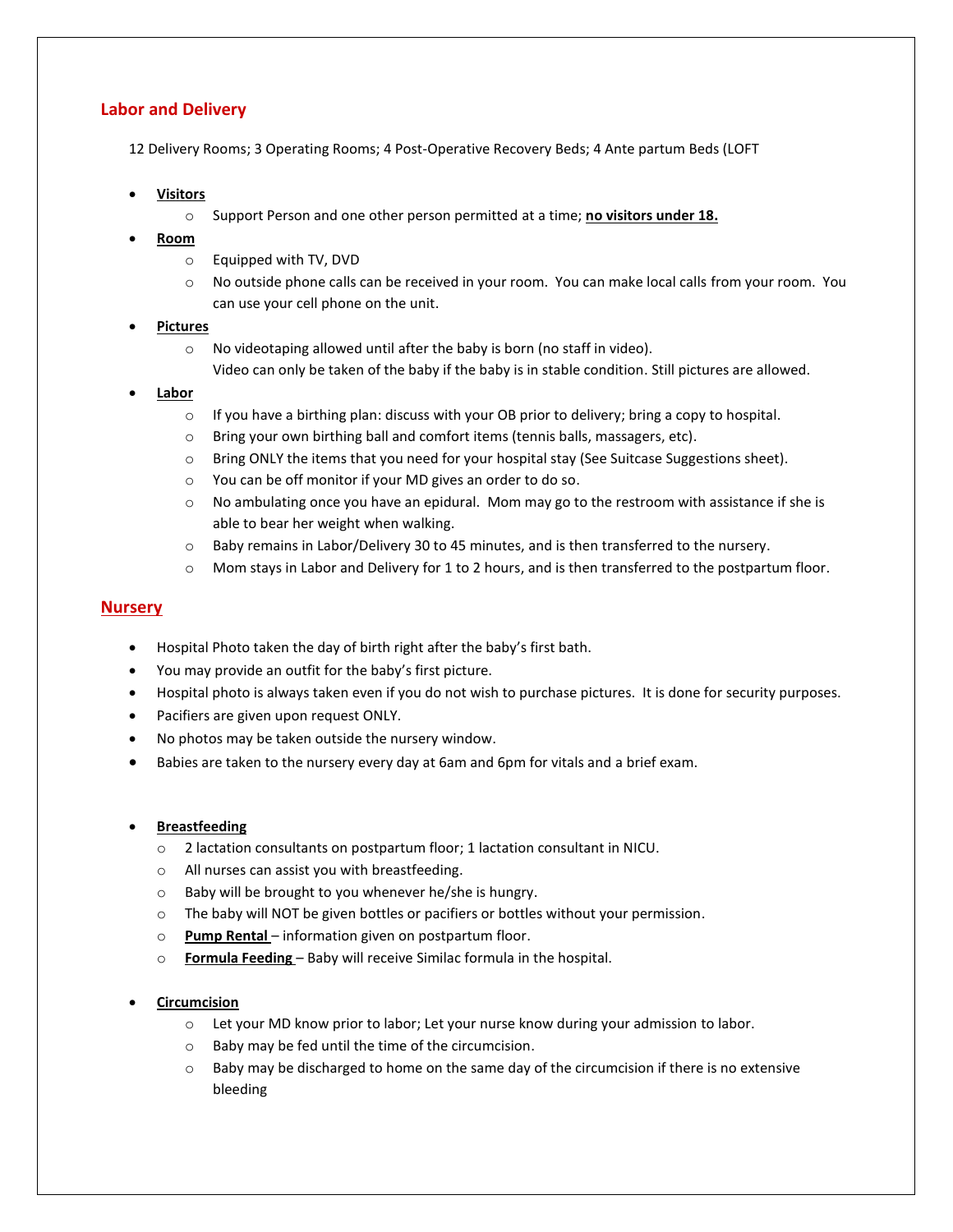### **Labor and Delivery**

12 Delivery Rooms; 3 Operating Rooms; 4 Post-Operative Recovery Beds; 4 Ante partum Beds (LOFT

- **Visitors**
	- o Support Person and one other person permitted at a time; **no visitors under 18.**
- **Room**
	- o Equipped with TV, DVD
	- o No outside phone calls can be received in your room. You can make local calls from your room. You can use your cell phone on the unit.

### **Pictures**

o No videotaping allowed until after the baby is born (no staff in video). Video can only be taken of the baby if the baby is in stable condition. Still pictures are allowed.

### **Labor**

- $\circ$  If you have a birthing plan: discuss with your OB prior to delivery; bring a copy to hospital.
- o Bring your own birthing ball and comfort items (tennis balls, massagers, etc).
- o Bring ONLY the items that you need for your hospital stay (See Suitcase Suggestions sheet).
- o You can be off monitor if your MD gives an order to do so.
- o No ambulating once you have an epidural. Mom may go to the restroom with assistance if she is able to bear her weight when walking.
- o Baby remains in Labor/Delivery 30 to 45 minutes, and is then transferred to the nursery.
- o Mom stays in Labor and Delivery for 1 to 2 hours, and is then transferred to the postpartum floor.

### **Nursery**

- Hospital Photo taken the day of birth right after the baby's first bath.
- You may provide an outfit for the baby's first picture.
- Hospital photo is always taken even if you do not wish to purchase pictures. It is done for security purposes.
- Pacifiers are given upon request ONLY.
- No photos may be taken outside the nursery window.
- Babies are taken to the nursery every day at 6am and 6pm for vitals and a brief exam.

### **Breastfeeding**

- o 2 lactation consultants on postpartum floor; 1 lactation consultant in NICU.
- o All nurses can assist you with breastfeeding.
- o Baby will be brought to you whenever he/she is hungry.
- o The baby will NOT be given bottles or pacifiers or bottles without your permission.
- o **Pump Rental** information given on postpartum floor.
- o **Formula Feeding**  Baby will receive Similac formula in the hospital.

### **Circumcision**

- o Let your MD know prior to labor; Let your nurse know during your admission to labor.
- o Baby may be fed until the time of the circumcision.
- $\circ$  Baby may be discharged to home on the same day of the circumcision if there is no extensive bleeding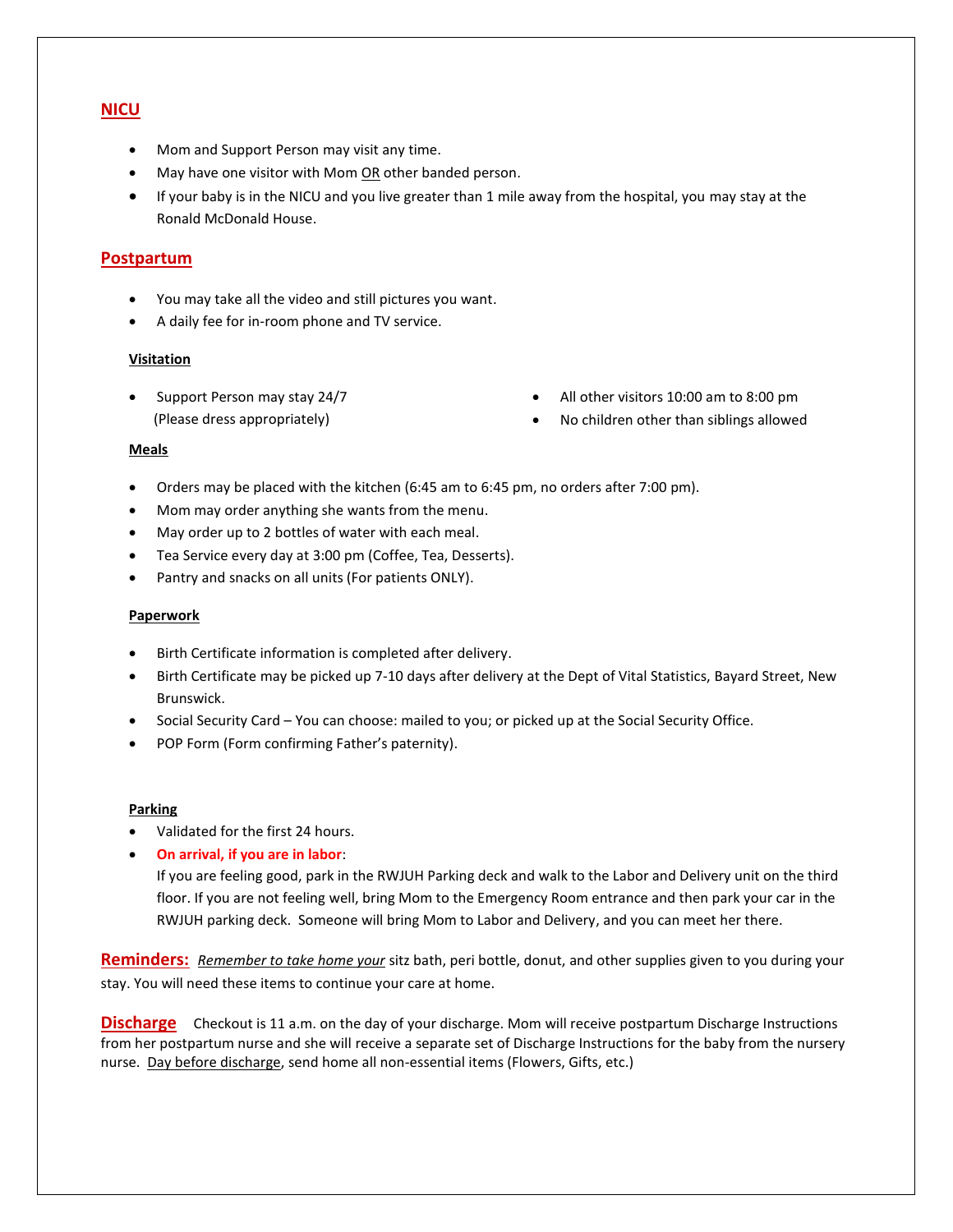### **NICU**

- Mom and Support Person may visit any time.
- May have one visitor with Mom OR other banded person.
- If your baby is in the NICU and you live greater than 1 mile away from the hospital, you may stay at the Ronald McDonald House.

### **Postpartum**

- You may take all the video and still pictures you want.
- A daily fee for in-room phone and TV service.

#### **Visitation**

• Support Person may stay 24/7 (Please dress appropriately)

- All other visitors 10:00 am to 8:00 pm
- No children other than siblings allowed

#### **Meals**

- Orders may be placed with the kitchen (6:45 am to 6:45 pm, no orders after 7:00 pm).
- Mom may order anything she wants from the menu.
- May order up to 2 bottles of water with each meal.
- Tea Service every day at 3:00 pm (Coffee, Tea, Desserts).
- Pantry and snacks on all units (For patients ONLY).

#### **Paperwork**

- Birth Certificate information is completed after delivery.
- Birth Certificate may be picked up 7-10 days after delivery at the Dept of Vital Statistics, Bayard Street, New Brunswick.
- Social Security Card You can choose: mailed to you; or picked up at the Social Security Office.
- POP Form (Form confirming Father's paternity).

#### **Parking**

- Validated for the first 24 hours.
- **On arrival, if you are in labor**:

If you are feeling good, park in the RWJUH Parking deck and walk to the Labor and Delivery unit on the third floor. If you are not feeling well, bring Mom to the Emergency Room entrance and then park your car in the RWJUH parking deck. Someone will bring Mom to Labor and Delivery, and you can meet her there.

**Reminders:** *Remember to take home your* sitz bath, peri bottle, donut, and other supplies given to you during your stay. You will need these items to continue your care at home.

**Discharge** Checkout is 11 a.m. on the day of your discharge. Mom will receive postpartum Discharge Instructions from her postpartum nurse and she will receive a separate set of Discharge Instructions for the baby from the nursery nurse. Day before discharge, send home all non-essential items (Flowers, Gifts, etc.)